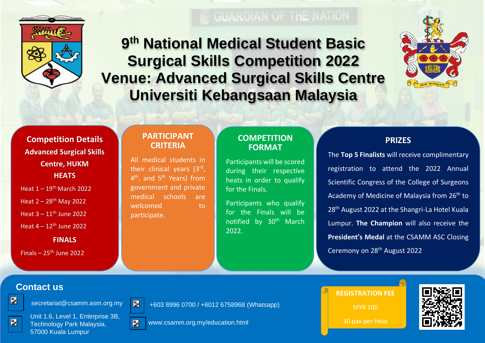

**9 th National Medical Student Basic Surgical Skills Competition 2022 Venue: Advanced Surgical Skills Centre Universiti Kebangsaan Malaysia**



**Competition Details Advanced Surgical Skills Centre, HUKM HEATS**

Heat  $1 - 19$ <sup>th</sup> March 2022

Heat  $2 - 28$ <sup>th</sup> May 2022

Heat  $3 - 11$ <sup>th</sup> June 2022

Heat  $4 - 12$ <sup>th</sup> June 2022

**FINALS**

Finals –  $25<sup>th</sup>$  June 2022

#### **PARTICIPANT CRITERIA**

All medical students in their clinical years (3<sup>rd</sup>, 4<sup>th</sup>, and 5<sup>th</sup> Years) from government and private medical schools are welcomed to to participate.

#### **COMPETITION FORMAT**

Participants will be scored during their respective heats in order to qualify for the Finals.

Participants who qualify for the Finals will be notified by 30<sup>th</sup> March 2022.

### **PRIZES**

The **Top 5 Finalists** will receive complimentary registration to attend the 2022 Annual Scientific Congress of the College of Surgeons Academy of Medicine of Malaysia from 26<sup>th</sup> to 28<sup>th</sup> August 2022 at the Shangri-La Hotel Kuala Lumpur. **The Champion** will also receive the **President's Medal** at the CSAMM ASC Closing Ceremony on 28th August 2022

## **Contact us**

圖





+603 8996 0700 / +6012 6758968 (Whatsapp)



Unit 1.6, Level 1, Enterprise 3B, Technology Park Malaysia, 57000 Kuala Lumpur



www.csamm.org.my/education.html

**REGISTRATION FEE**

MYR 100

30 pax per Heat